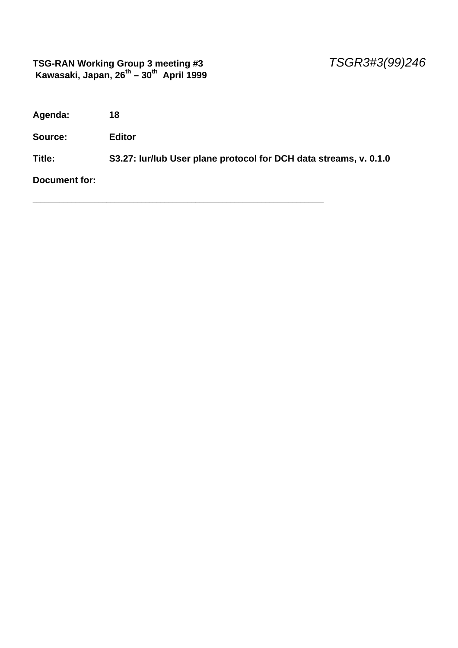#### **TSG-RAN Working Group 3 meeting #3** *TSGR3#3(99)246*  **Kawasaki, Japan, 26th – 30th April 1999**

**Agenda: 18**

**Source: Editor**

**Title: S3.27: Iur/Iub User plane protocol for DCH data streams, v. 0.1.0**

\_\_\_\_\_\_\_\_\_\_\_\_\_\_\_\_\_\_\_\_\_\_\_\_\_\_\_\_\_\_\_\_\_\_\_\_\_\_\_\_\_\_\_\_\_\_\_\_\_\_\_\_\_\_\_\_\_\_\_\_\_\_\_\_\_\_\_\_\_\_\_\_\_\_\_

**Document for:**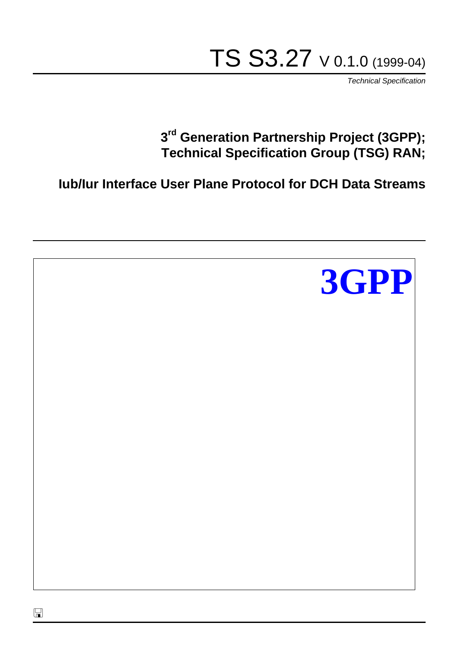# TS S3.27 V 0.1.0 (1999-04)

*Technical Specification*

## **3 rd Generation Partnership Project (3GPP); Technical Specification Group (TSG) RAN;**

**Iub/Iur Interface User Plane Protocol for DCH Data Streams**

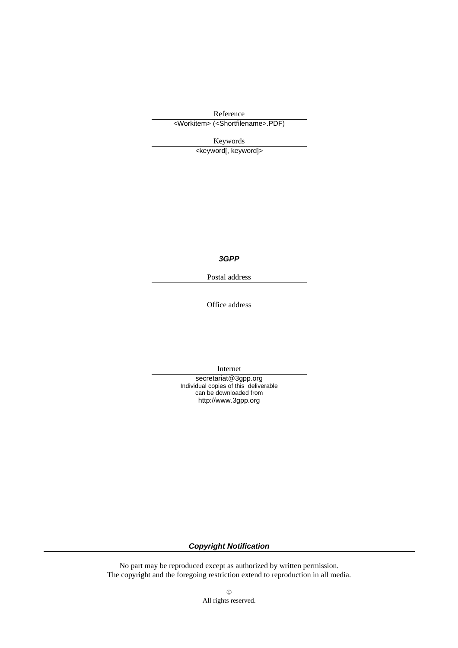Reference

<Workitem> (<Shortfilename>.PDF)

Keywords

<keyword[, keyword]>

*3GPP*

Postal address

Office address

Internet

secretariat@3gpp.org Individual copies of this deliverable can be downloaded from http://www.3gpp.org

*Copyright Notification*

No part may be reproduced except as authorized by written permission. The copyright and the foregoing restriction extend to reproduction in all media.

> © All rights reserved.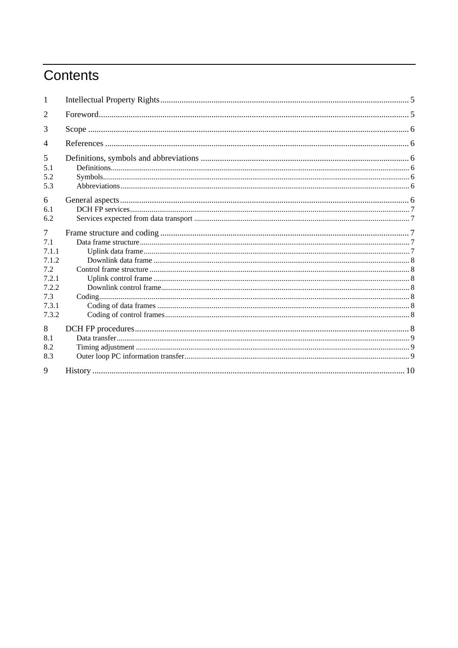## Contents

| 1              |  |  |  |
|----------------|--|--|--|
| 2              |  |  |  |
| 3              |  |  |  |
| $\overline{4}$ |  |  |  |
| 5              |  |  |  |
| 5.1            |  |  |  |
| 5.2            |  |  |  |
| 5.3            |  |  |  |
| 6              |  |  |  |
| 6.1            |  |  |  |
| 6.2            |  |  |  |
| 7              |  |  |  |
| 7.1            |  |  |  |
| 7 1 1          |  |  |  |
| 7.1.2          |  |  |  |
| 7.2            |  |  |  |
| 7.2.1          |  |  |  |
| 7.2.2          |  |  |  |
| 7.3            |  |  |  |
| 7.3.1          |  |  |  |
| 7.3.2          |  |  |  |
| 8              |  |  |  |
| 8.1            |  |  |  |
| 8.2            |  |  |  |
| 8.3            |  |  |  |
| 9              |  |  |  |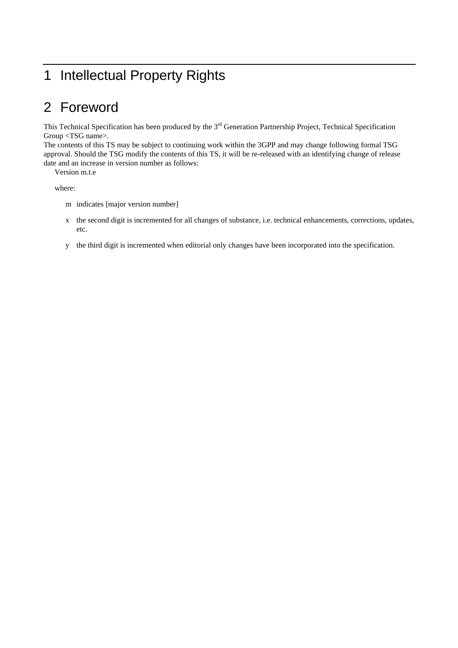## 1 Intellectual Property Rights

## 2 Foreword

This Technical Specification has been produced by the 3<sup>rd</sup> Generation Partnership Project, Technical Specification Group <TSG name>.

The contents of this TS may be subject to continuing work within the 3GPP and may change following formal TSG approval. Should the TSG modify the contents of this TS, it will be re-released with an identifying change of release date and an increase in version number as follows:

Version m.t.e

where:

- m indicates [major version number]
- x the second digit is incremented for all changes of substance, i.e. technical enhancements, corrections, updates, etc.
- y the third digit is incremented when editorial only changes have been incorporated into the specification.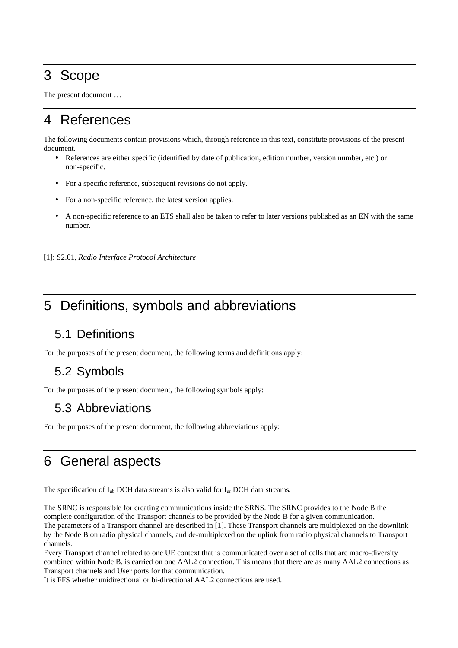## 3 Scope

The present document …

## 4 References

The following documents contain provisions which, through reference in this text, constitute provisions of the present document.

- References are either specific (identified by date of publication, edition number, version number, etc.) or non-specific.
- For a specific reference, subsequent revisions do not apply.
- For a non-specific reference, the latest version applies.
- A non-specific reference to an ETS shall also be taken to refer to later versions published as an EN with the same number.

[1]: S2.01, *Radio Interface Protocol Architecture*

## 5 Definitions, symbols and abbreviations

#### 5.1 Definitions

For the purposes of the present document, the following terms and definitions apply:

#### 5.2 Symbols

For the purposes of the present document, the following symbols apply:

#### 5.3 Abbreviations

For the purposes of the present document, the following abbreviations apply:

## 6 General aspects

The specification of  $I_{ub}$  DCH data streams is also valid for  $I_{ur}$  DCH data streams.

The SRNC is responsible for creating communications inside the SRNS. The SRNC provides to the Node B the complete configuration of the Transport channels to be provided by the Node B for a given communication. The parameters of a Transport channel are described in [1]. These Transport channels are multiplexed on the downlink by the Node B on radio physical channels, and de-multiplexed on the uplink from radio physical channels to Transport channels.

Every Transport channel related to one UE context that is communicated over a set of cells that are macro-diversity combined within Node B, is carried on one AAL2 connection. This means that there are as many AAL2 connections as Transport channels and User ports for that communication.

It is FFS whether unidirectional or bi-directional AAL2 connections are used.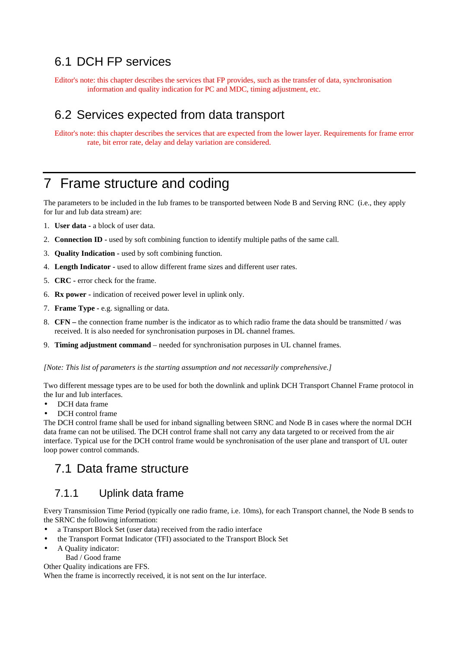#### 6.1 DCH FP services

Editor's note: this chapter describes the services that FP provides, such as the transfer of data, synchronisation information and quality indication for PC and MDC, timing adjustment, etc.

#### 6.2 Services expected from data transport

Editor's note: this chapter describes the services that are expected from the lower layer. Requirements for frame error rate, bit error rate, delay and delay variation are considered.

## 7 Frame structure and coding

The parameters to be included in the Iub frames to be transported between Node B and Serving RNC (i.e., they apply for Iur and Iub data stream) are:

- 1. **User data** a block of user data.
- 2. **Connection ID** used by soft combining function to identify multiple paths of the same call.
- 3. **Quality Indication** used by soft combining function.
- 4. **Length Indicator** used to allow different frame sizes and different user rates.
- 5. **CRC** error check for the frame.
- 6. **Rx power** indication of received power level in uplink only.
- 7. **Frame Type** e.g. signalling or data.
- 8. **CFN –** the connection frame number is the indicator as to which radio frame the data should be transmitted / was received. It is also needed for synchronisation purposes in DL channel frames.
- 9. **Timing adjustment command** needed for synchronisation purposes in UL channel frames.

*[Note: This list of parameters is the starting assumption and not necessarily comprehensive.]*

Two different message types are to be used for both the downlink and uplink DCH Transport Channel Frame protocol in the Iur and Iub interfaces.

- DCH data frame
- DCH control frame

The DCH control frame shall be used for inband signalling between SRNC and Node B in cases where the normal DCH data frame can not be utilised. The DCH control frame shall not carry any data targeted to or received from the air interface. Typical use for the DCH control frame would be synchronisation of the user plane and transport of UL outer loop power control commands.

#### 7.1 Data frame structure

#### 7.1.1 Uplink data frame

Every Transmission Time Period (typically one radio frame, i.e. 10ms), for each Transport channel, the Node B sends to the SRNC the following information:

- a Transport Block Set (user data) received from the radio interface
- the Transport Format Indicator (TFI) associated to the Transport Block Set
- A Quality indicator:

Bad / Good frame

Other Quality indications are FFS.

When the frame is incorrectly received, it is not sent on the Iur interface.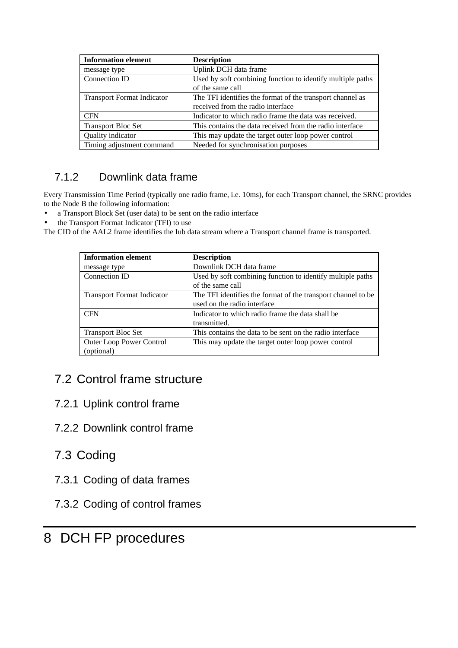| <b>Information element</b>        | <b>Description</b>                                         |
|-----------------------------------|------------------------------------------------------------|
| message type                      | Uplink DCH data frame                                      |
| Connection ID                     | Used by soft combining function to identify multiple paths |
|                                   | of the same call                                           |
| <b>Transport Format Indicator</b> | The TFI identifies the format of the transport channel as  |
|                                   | received from the radio interface                          |
| <b>CFN</b>                        | Indicator to which radio frame the data was received.      |
| <b>Transport Bloc Set</b>         | This contains the data received from the radio interface   |
| Quality indicator                 | This may update the target outer loop power control        |
| Timing adjustment command         | Needed for synchronisation purposes                        |

#### 7.1.2 Downlink data frame

Every Transmission Time Period (typically one radio frame, i.e. 10ms), for each Transport channel, the SRNC provides to the Node B the following information:

• a Transport Block Set (user data) to be sent on the radio interface

• the Transport Format Indicator (TFI) to use

The CID of the AAL2 frame identifies the Iub data stream where a Transport channel frame is transported.

| <b>Information element</b>        | <b>Description</b>                                            |
|-----------------------------------|---------------------------------------------------------------|
| message type                      | Downlink DCH data frame                                       |
| Connection ID                     | Used by soft combining function to identify multiple paths    |
|                                   | of the same call                                              |
| <b>Transport Format Indicator</b> | The TFI identifies the format of the transport channel to be. |
|                                   | used on the radio interface                                   |
| <b>CFN</b>                        | Indicator to which radio frame the data shall be              |
|                                   | transmitted.                                                  |
| <b>Transport Bloc Set</b>         | This contains the data to be sent on the radio interface      |
| <b>Outer Loop Power Control</b>   | This may update the target outer loop power control           |
| (optional)                        |                                                               |

#### 7.2 Control frame structure

- 7.2.1 Uplink control frame
- 7.2.2 Downlink control frame

#### 7.3 Coding

- 7.3.1 Coding of data frames
- 7.3.2 Coding of control frames

### 8 DCH FP procedures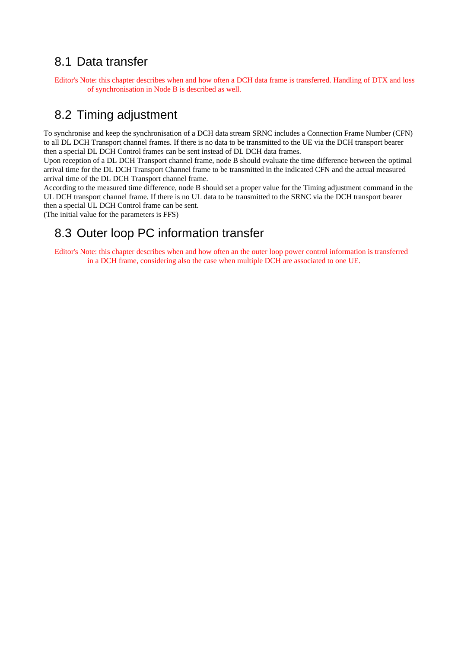#### 8.1 Data transfer

Editor's Note: this chapter describes when and how often a DCH data frame is transferred. Handling of DTX and loss of synchronisation in Node B is described as well.

#### 8.2 Timing adjustment

To synchronise and keep the synchronisation of a DCH data stream SRNC includes a Connection Frame Number (CFN) to all DL DCH Transport channel frames. If there is no data to be transmitted to the UE via the DCH transport bearer then a special DL DCH Control frames can be sent instead of DL DCH data frames.

Upon reception of a DL DCH Transport channel frame, node B should evaluate the time difference between the optimal arrival time for the DL DCH Transport Channel frame to be transmitted in the indicated CFN and the actual measured arrival time of the DL DCH Transport channel frame.

According to the measured time difference, node B should set a proper value for the Timing adjustment command in the UL DCH transport channel frame. If there is no UL data to be transmitted to the SRNC via the DCH transport bearer then a special UL DCH Control frame can be sent.

(The initial value for the parameters is FFS)

#### 8.3 Outer loop PC information transfer

Editor's Note: this chapter describes when and how often an the outer loop power control information is transferred in a DCH frame, considering also the case when multiple DCH are associated to one UE.